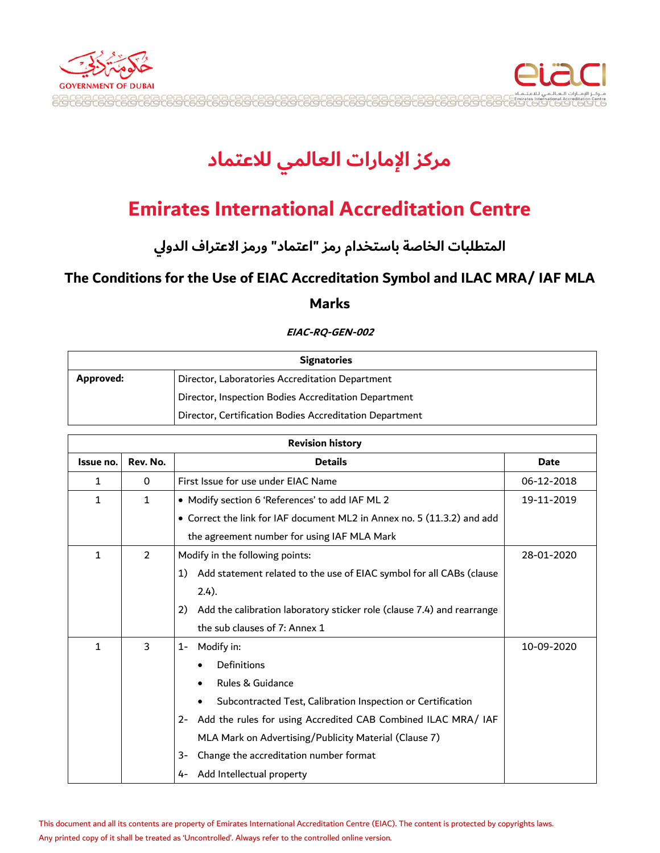



## **Emirates International Accreditation Centre**

**اعيمطلبر اعخرصة برسمخدام امز "اتمير " وامز االتمراف اعدولي**

### **The Conditions for the Use of EIAC Accreditation Symbol and ILAC MRA/ IAF MLA**

#### **Marks**

#### **EIAC-RQ-GEN-002**

| <b>Signatories</b> |                                                         |
|--------------------|---------------------------------------------------------|
| Approved:          | Director, Laboratories Accreditation Department         |
|                    | Director, Inspection Bodies Accreditation Department    |
|                    | Director, Certification Bodies Accreditation Department |

| <b>Revision history</b> |                |                                                                              |             |
|-------------------------|----------------|------------------------------------------------------------------------------|-------------|
| Issue no.               | Rev. No.       | <b>Details</b>                                                               | <b>Date</b> |
| 1                       | 0              | First Issue for use under EIAC Name                                          | 06-12-2018  |
| 1                       | $\mathbf{1}$   | • Modify section 6 'References' to add IAF ML 2                              | 19-11-2019  |
|                         |                | • Correct the link for IAF document ML2 in Annex no. 5 (11.3.2) and add      |             |
|                         |                | the agreement number for using IAF MLA Mark                                  |             |
| 1                       | $\mathfrak{p}$ | Modify in the following points:<br>28-01-2020                                |             |
|                         |                | Add statement related to the use of EIAC symbol for all CABs (clause<br>1)   |             |
|                         |                | $2.4$ ).                                                                     |             |
|                         |                | Add the calibration laboratory sticker role (clause 7.4) and rearrange<br>2) |             |
|                         |                | the sub clauses of 7: Annex 1                                                |             |
| 1                       | 3              | Modify in:<br>$1 -$                                                          | 10-09-2020  |
|                         |                | Definitions                                                                  |             |
|                         |                | Rules & Guidance                                                             |             |
|                         |                | Subcontracted Test, Calibration Inspection or Certification                  |             |
|                         |                | Add the rules for using Accredited CAB Combined ILAC MRA/ IAF<br>$2 -$       |             |
|                         |                | MLA Mark on Advertising/Publicity Material (Clause 7)                        |             |
|                         |                | Change the accreditation number format<br>3-                                 |             |
|                         |                | Add Intellectual property<br>4-                                              |             |

This document and all its contents are property of Emirates International Accreditation Centre (EIAC). The content is protected by copyrights laws. Any printed copy of it shall be treated as 'Uncontrolled'. Always refer to the controlled online version.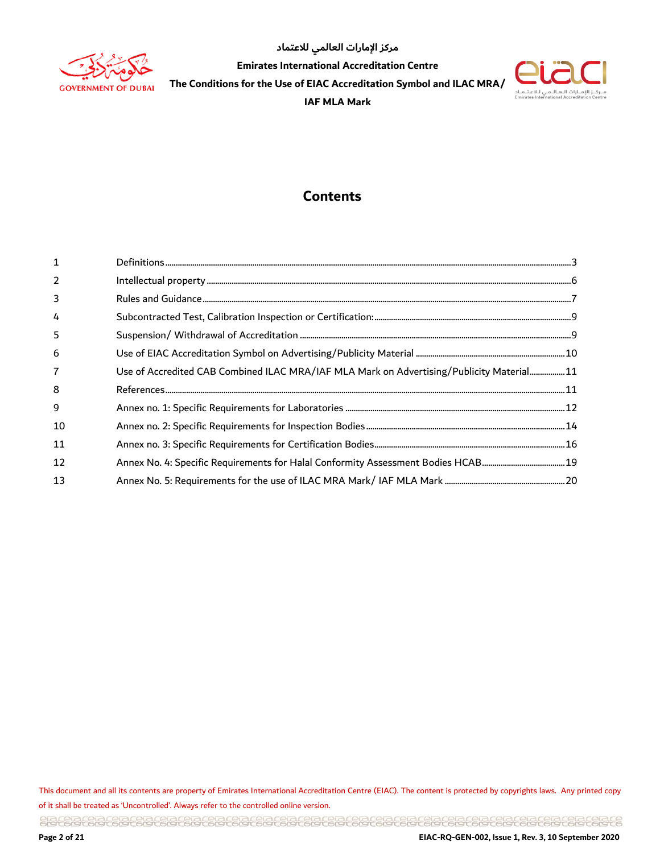



### **Contents**

| $\mathbf 1$    |                                                                                          |
|----------------|------------------------------------------------------------------------------------------|
| $\overline{2}$ |                                                                                          |
| 3              |                                                                                          |
| 4              |                                                                                          |
| 5              |                                                                                          |
| 6              |                                                                                          |
| 7              | Use of Accredited CAB Combined ILAC MRA/IAF MLA Mark on Advertising/Publicity Material11 |
| 8              |                                                                                          |
| 9              |                                                                                          |
| 10             |                                                                                          |
| 11             |                                                                                          |
| 12             |                                                                                          |
| 13             |                                                                                          |

This document and all its contents are property of Emirates International Accreditation Centre (EIAC). The content is protected by copyrights laws. Any printed copy of it shall be treated as 'Uncontrolled'. Always refer to the controlled online version.

<u> 일립은일관 남일 공업 공업 공업 공업 공업 공업 공업 공업 공업 공업 공업 중심 공급 공업 공급 공업 공업 공업 공업 공업 공급 공립공원을 공립 등</u>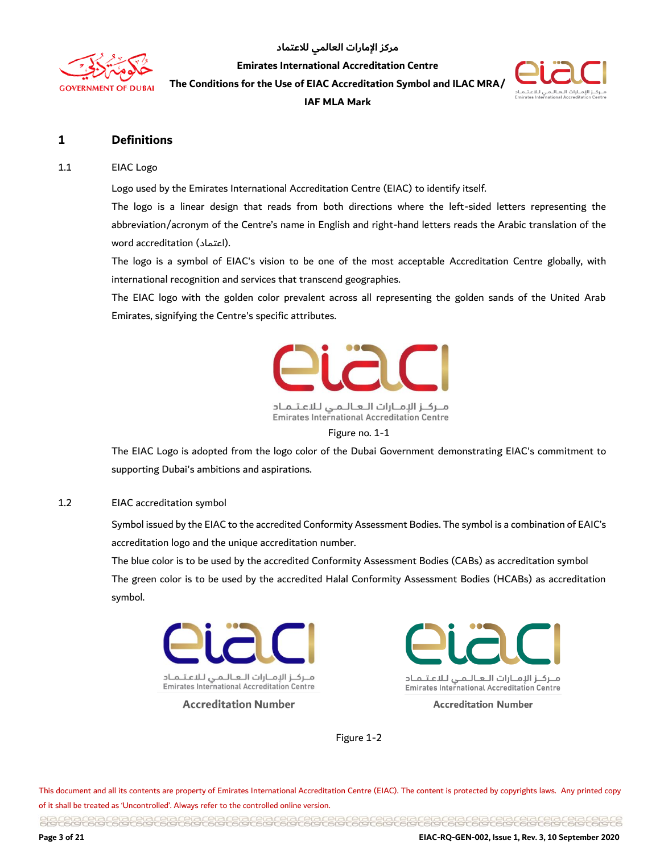

**Emirates International Accreditation Centre**

**The Conditions for the Use of EIAC Accreditation Symbol and ILAC MRA/** 

**IAF MLA Mark** 



#### <span id="page-2-0"></span>**1 Definitions**

#### 1.1 EIAC Logo

Logo used by the Emirates International Accreditation Centre (EIAC) to identify itself.

The logo is a linear design that reads from both directions where the left-sided letters representing the abbreviation/acronym of the Centre's name in English and right-hand letters reads the Arabic translation of the word accreditation (اعتماد(.

The logo is a symbol of EIAC's vision to be one of the most acceptable Accreditation Centre globally, with international recognition and services that transcend geographies.

The EIAC logo with the golden color prevalent across all representing the golden sands of the United Arab Emirates, signifying the Centre's specific attributes.



مـركـز الإمـارات الـعـالـمـي لـلاعـتـمـاد **Emirates International Accreditation Centre** 

Figure no. 1-1

The EIAC Logo is adopted from the logo color of the Dubai Government demonstrating EIAC's commitment to supporting Dubai's ambitions and aspirations.

#### 1.2 EIAC accreditation symbol

Symbol issued by the EIAC to the accredited Conformity Assessment Bodies. The symbol is a combination of EAIC's accreditation logo and the unique accreditation number.

The blue color is to be used by the accredited Conformity Assessment Bodies (CABs) as accreditation symbol The green color is to be used by the accredited Halal Conformity Assessment Bodies (HCABs) as accreditation symbol.



**Accreditation Number** 



**Accreditation Number** 

Figure 1-2

This document and all its contents are property of Emirates International Accreditation Centre (EIAC). The content is protected by copyrights laws. Any printed copy of it shall be treated as 'Uncontrolled'. Always refer to the controlled online version.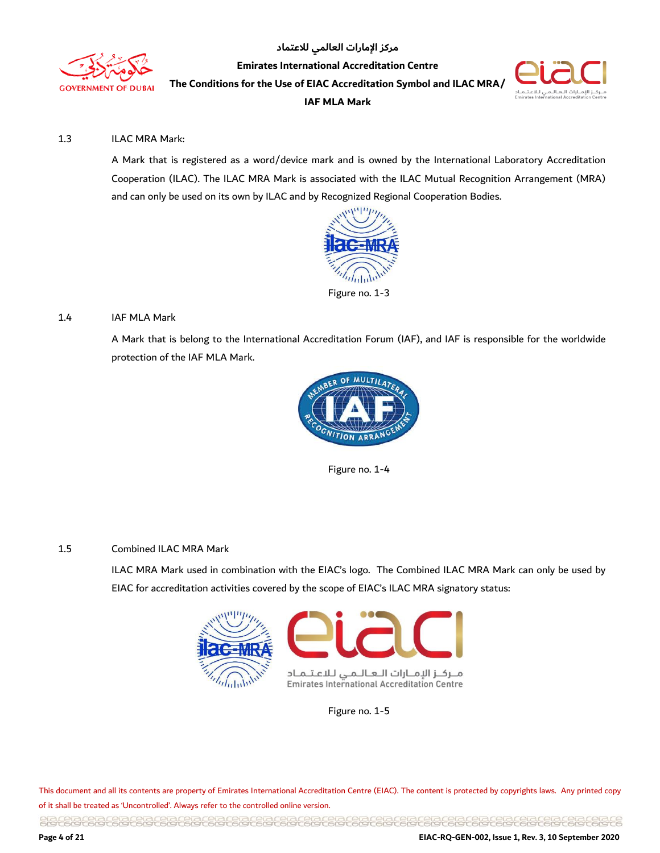



#### 1.3 ILAC MRA Mark:

A Mark that is registered as a word/device mark and is owned by the International Laboratory Accreditation Cooperation (ILAC). The ILAC MRA Mark is associated with the ILAC Mutual Recognition Arrangement (MRA) and can only be used on its own by ILAC and by Recognized Regional Cooperation Bodies.



#### 1.4 IAF MLA Mark

A Mark that is belong to the International Accreditation Forum (IAF), and IAF is responsible for the worldwide protection of the IAF MLA Mark.



Figure no. 1-4

#### 1.5 Combined ILAC MRA Mark

ILAC MRA Mark used in combination with the EIAC's logo. The Combined ILAC MRA Mark can only be used by EIAC for accreditation activities covered by the scope of EIAC's ILAC MRA signatory status:



Figure no. 1-5

This document and all its contents are property of Emirates International Accreditation Centre (EIAC). The content is protected by copyrights laws. Any printed copy of it shall be treated as 'Uncontrolled'. Always refer to the controlled online version.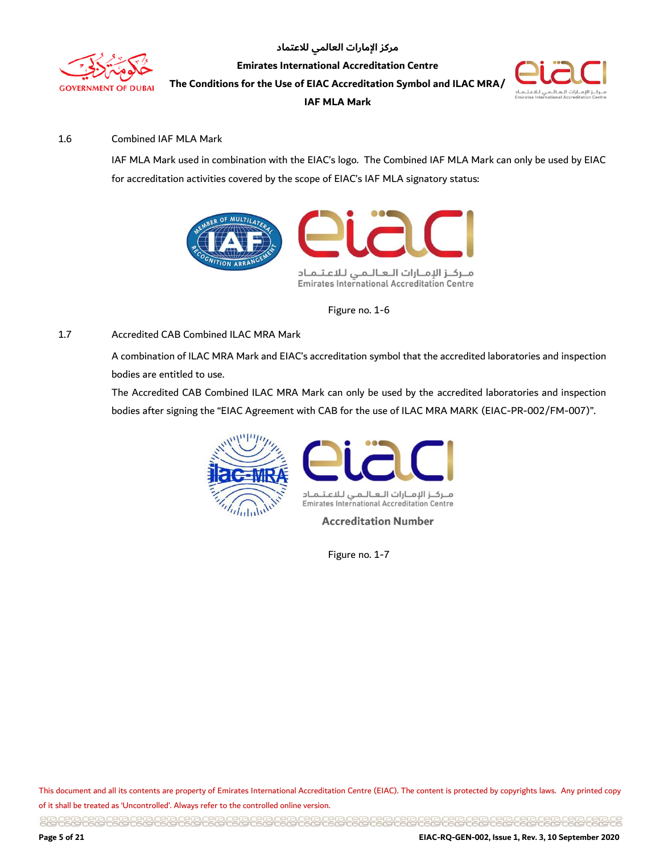



#### 1.6 Combined IAF MLA Mark

IAF MLA Mark used in combination with the EIAC's logo. The Combined IAF MLA Mark can only be used by EIAC for accreditation activities covered by the scope of EIAC's IAF MLA signatory status:



Figure no. 1-6

#### 1.7 Accredited CAB Combined ILAC MRA Mark

A combination of ILAC MRA Mark and EIAC's accreditation symbol that the accredited laboratories and inspection bodies are entitled to use.

The Accredited CAB Combined ILAC MRA Mark can only be used by the accredited laboratories and inspection bodies after signing the "EIAC Agreement with CAB for the use of ILAC MRA MARK (EIAC-PR-002/FM-007)".





**Accreditation Number** 

Figure no. 1-7

This document and all its contents are property of Emirates International Accreditation Centre (EIAC). The content is protected by copyrights laws. Any printed copy of it shall be treated as 'Uncontrolled'. Always refer to the controlled online version.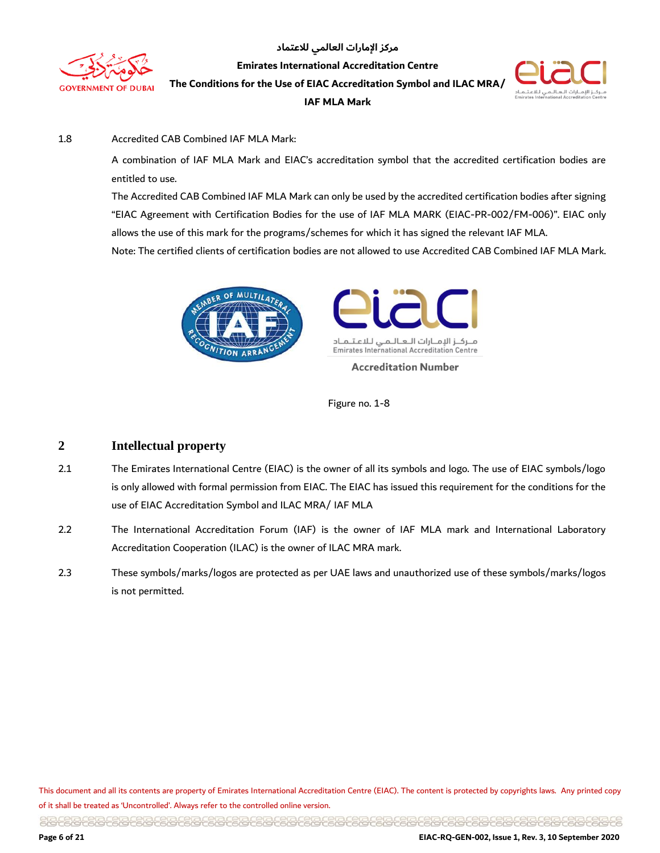



#### 1.8 Accredited CAB Combined IAF MLA Mark:

A combination of IAF MLA Mark and EIAC's accreditation symbol that the accredited certification bodies are entitled to use.

The Accredited CAB Combined IAF MLA Mark can only be used by the accredited certification bodies after signing "EIAC Agreement with Certification Bodies for the use of IAF MLA MARK (EIAC-PR-002/FM-006)". EIAC only allows the use of this mark for the programs/schemes for which it has signed the relevant IAF MLA. Note: The certified clients of certification bodies are not allowed to use Accredited CAB Combined IAF MLA Mark.





Figure no. 1-8

#### <span id="page-5-0"></span>**2 Intellectual property**

- 2.1 The Emirates International Centre (EIAC) is the owner of all its symbols and logo. The use of EIAC symbols/logo is only allowed with formal permission from EIAC. The EIAC has issued this requirement for the conditions for the use of EIAC Accreditation Symbol and ILAC MRA/ IAF MLA
- 2.2 The International Accreditation Forum (IAF) is the owner of IAF MLA mark and International Laboratory Accreditation Cooperation (ILAC) is the owner of ILAC MRA mark.
- 2.3 These symbols/marks/logos are protected as per UAE laws and unauthorized use of these symbols/marks/logos is not permitted.

This document and all its contents are property of Emirates International Accreditation Centre (EIAC). The content is protected by copyrights laws. Any printed copy of it shall be treated as 'Uncontrolled'. Always refer to the controlled online version.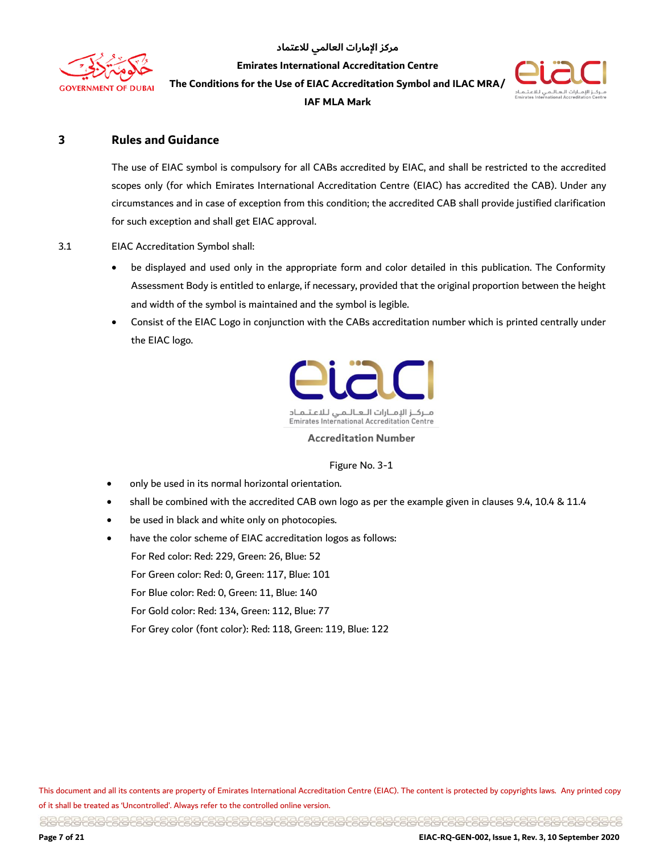

**IAF MLA Mark** 



#### <span id="page-6-0"></span>**3 Rules and Guidance**

The use of EIAC symbol is compulsory for all CABs accredited by EIAC, and shall be restricted to the accredited scopes only (for which Emirates International Accreditation Centre (EIAC) has accredited the CAB). Under any circumstances and in case of exception from this condition; the accredited CAB shall provide justified clarification for such exception and shall get EIAC approval.

3.1 EIAC Accreditation Symbol shall:

- be displayed and used only in the appropriate form and color detailed in this publication. The Conformity Assessment Body is entitled to enlarge, if necessary, provided that the original proportion between the height and width of the symbol is maintained and the symbol is legible.
- Consist of the EIAC Logo in conjunction with the CABs accreditation number which is printed centrally under the EIAC logo.



**Emirates International Accreditation Centre** 

#### **Accreditation Number**

#### Figure No. 3-1

- only be used in its normal horizontal orientation.
- shall be combined with the accredited CAB own logo as per the example given in clauses 9.4, 10.4 & 11.4
- be used in black and white only on photocopies.
- have the color scheme of EIAC accreditation logos as follows:

For Red color: Red: 229, Green: 26, Blue: 52

For Green color: Red: 0, Green: 117, Blue: 101

For Blue color: Red: 0, Green: 11, Blue: 140

For Gold color: Red: 134, Green: 112, Blue: 77

For Grey color (font color): Red: 118, Green: 119, Blue: 122

This document and all its contents are property of Emirates International Accreditation Centre (EIAC). The content is protected by copyrights laws. Any printed copy of it shall be treated as 'Uncontrolled'. Always refer to the controlled online version.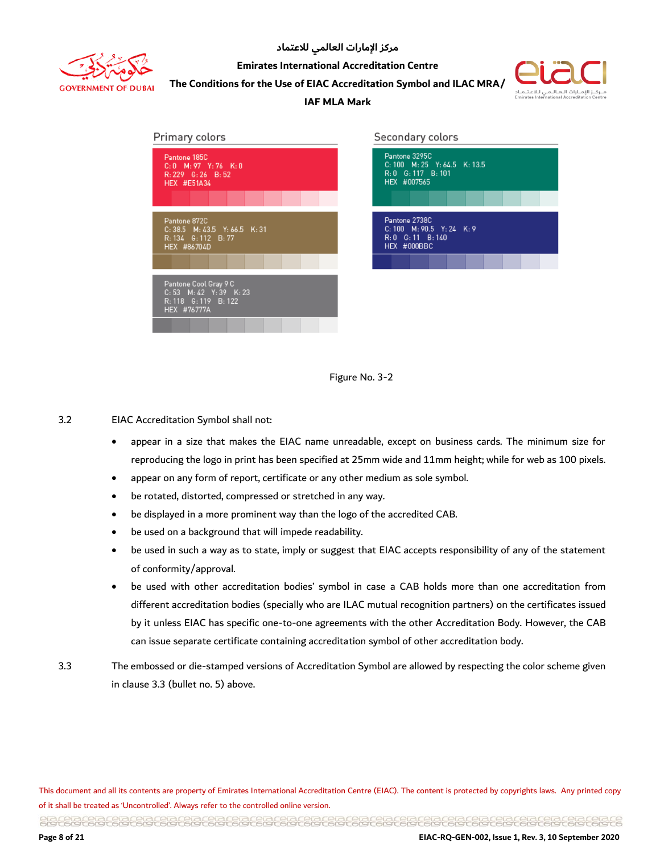

**Emirates International Accreditation Centre**

**The Conditions for the Use of EIAC Accreditation Symbol and ILAC MRA/** 



#### **IAF MLA Mark**

| Primary colors                                                                            | Secondary colors                                                                   |
|-------------------------------------------------------------------------------------------|------------------------------------------------------------------------------------|
| Pantone 185C<br>$C: 0$ M: 97 Y: 76 K: 0<br>$R: 229$ $G: 26$ $B: 52$<br><b>HEX #E51A34</b> | Pantone 3295C<br>C: 100 M: 25 Y: 64.5 K: 13.5<br>R: 0 G: 117 B: 101<br>HEX #007565 |
| Pantone 872C<br>$C: 38.5$ M: 43.5 Y: 66.5 K: 31<br>R: 134 G: 112 B: 77<br>HEX #86704D     | Pantone 2738C<br>C: 100 M: 90.5 Y: 24 K: 9<br>R: 0 G: 11 B: 140<br>HEX #000BBC     |
|                                                                                           |                                                                                    |
| Pantone Cool Gray 9 C<br>C: 53 M: 42 Y: 39 K: 23<br>R: 118 G: 119 B: 122<br>HEX #76777A   |                                                                                    |



3.2 EIAC Accreditation Symbol shall not:

- appear in a size that makes the EIAC name unreadable, except on business cards. The minimum size for reproducing the logo in print has been specified at 25mm wide and 11mm height; while for web as 100 pixels.
- appear on any form of report, certificate or any other medium as sole symbol.
- be rotated, distorted, compressed or stretched in any way.
- be displayed in a more prominent way than the logo of the accredited CAB.
- be used on a background that will impede readability.
- be used in such a way as to state, imply or suggest that EIAC accepts responsibility of any of the statement of conformity/approval.
- be used with other accreditation bodies' symbol in case a CAB holds more than one accreditation from different accreditation bodies (specially who are ILAC mutual recognition partners) on the certificates issued by it unless EIAC has specific one-to-one agreements with the other Accreditation Body. However, the CAB can issue separate certificate containing accreditation symbol of other accreditation body.
- 3.3 The embossed or die-stamped versions of Accreditation Symbol are allowed by respecting the color scheme given in clause 3.3 (bullet no. 5) above.

This document and all its contents are property of Emirates International Accreditation Centre (EIAC). The content is protected by copyrights laws. Any printed copy of it shall be treated as 'Uncontrolled'. Always refer to the controlled online version.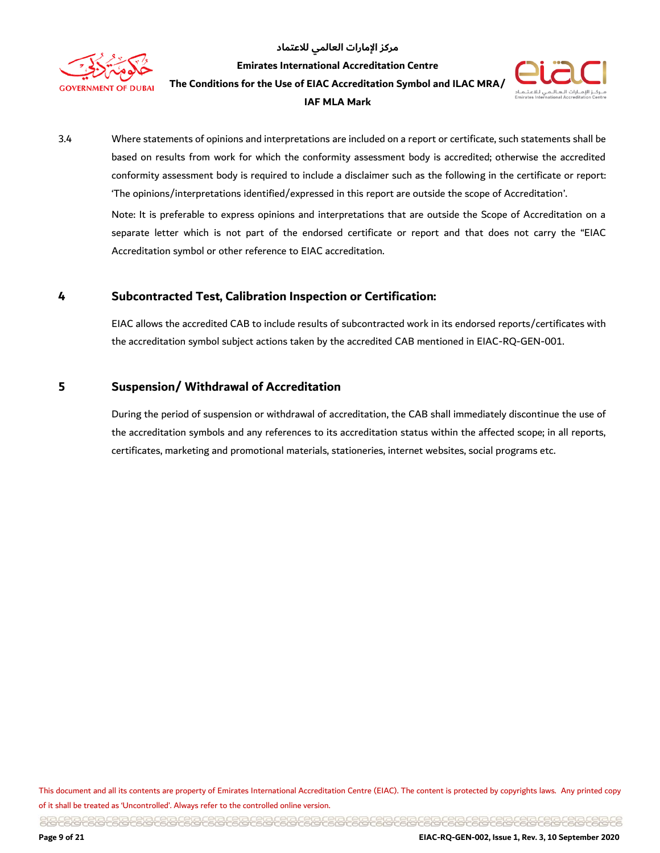

مركز الإمارات العالمي للاعتماد **Emirates International Accreditation Centre**

**The Conditions for the Use of EIAC Accreditation Symbol and ILAC MRA/** 

#### **IAF MLA Mark**



3.4 Where statements of opinions and interpretations are included on a report or certificate, such statements shall be based on results from work for which the conformity assessment body is accredited; otherwise the accredited conformity assessment body is required to include a disclaimer such as the following in the certificate or report: 'The opinions/interpretations identified/expressed in this report are outside the scope of Accreditation'.

Note: It is preferable to express opinions and interpretations that are outside the Scope of Accreditation on a separate letter which is not part of the endorsed certificate or report and that does not carry the "EIAC Accreditation symbol or other reference to EIAC accreditation.

#### <span id="page-8-0"></span>**4 Subcontracted Test, Calibration Inspection or Certification:**

EIAC allows the accredited CAB to include results of subcontracted work in its endorsed reports/certificates with the accreditation symbol subject actions taken by the accredited CAB mentioned in EIAC-RQ-GEN-001.

#### <span id="page-8-1"></span>**5 Suspension/ Withdrawal of Accreditation**

During the period of suspension or withdrawal of accreditation, the CAB shall immediately discontinue the use of the accreditation symbols and any references to its accreditation status within the affected scope; in all reports, certificates, marketing and promotional materials, stationeries, internet websites, social programs etc.

This document and all its contents are property of Emirates International Accreditation Centre (EIAC). The content is protected by copyrights laws. Any printed copy of it shall be treated as 'Uncontrolled'. Always refer to the controlled online version.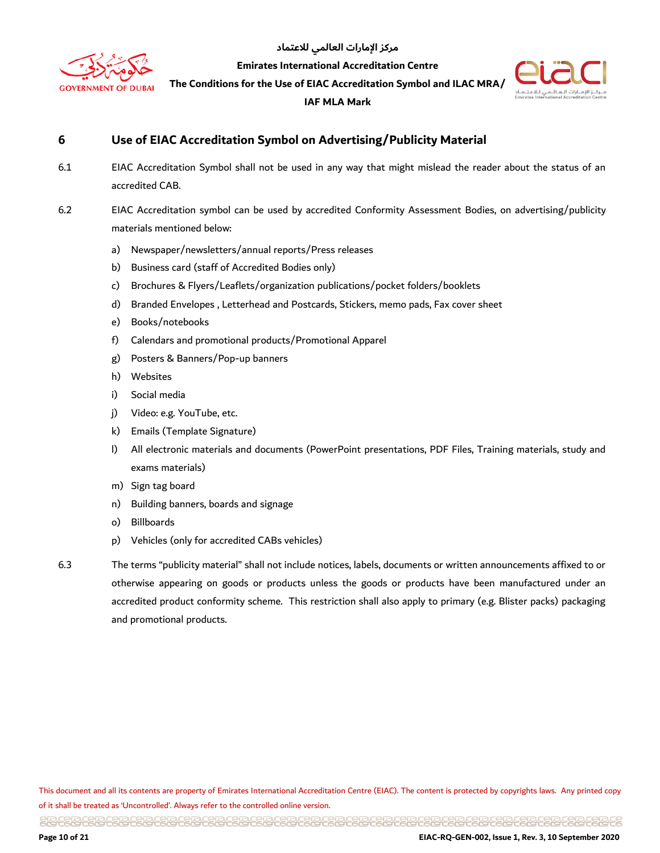

**Emirates International Accreditation Centre**

**The Conditions for the Use of EIAC Accreditation Symbol and ILAC MRA/** 

#### **IAF MLA Mark**



#### <span id="page-9-0"></span>**6 Use of EIAC Accreditation Symbol on Advertising/Publicity Material**

- 6.1 EIAC Accreditation Symbol shall not be used in any way that might mislead the reader about the status of an accredited CAB.
- 6.2 EIAC Accreditation symbol can be used by accredited Conformity Assessment Bodies, on advertising/publicity materials mentioned below:
	- a) Newspaper/newsletters/annual reports/Press releases
	- b) Business card (staff of Accredited Bodies only)
	- c) Brochures & Flyers/Leaflets/organization publications/pocket folders/booklets
	- d) Branded Envelopes , Letterhead and Postcards, Stickers, memo pads, Fax cover sheet
	- e) Books/notebooks
	- f) Calendars and promotional products/Promotional Apparel
	- g) Posters & Banners/Pop-up banners
	- h) Websites
	- i) Social media
	- j) Video: e.g. YouTube, etc.
	- k) Emails (Template Signature)
	- l) All electronic materials and documents (PowerPoint presentations, PDF Files, Training materials, study and exams materials)
	- m) Sign tag board
	- n) Building banners, boards and signage
	- o) Billboards
	- p) Vehicles (only for accredited CABs vehicles)
- 

6.3 The terms "publicity material" shall not include notices, labels, documents or written announcements affixed to or otherwise appearing on goods or products unless the goods or products have been manufactured under an accredited product conformity scheme. This restriction shall also apply to primary (e.g. Blister packs) packaging and promotional products.

This document and all its contents are property of Emirates International Accreditation Centre (EIAC). The content is protected by copyrights laws. Any printed copy of it shall be treated as 'Uncontrolled'. Always refer to the controlled online version.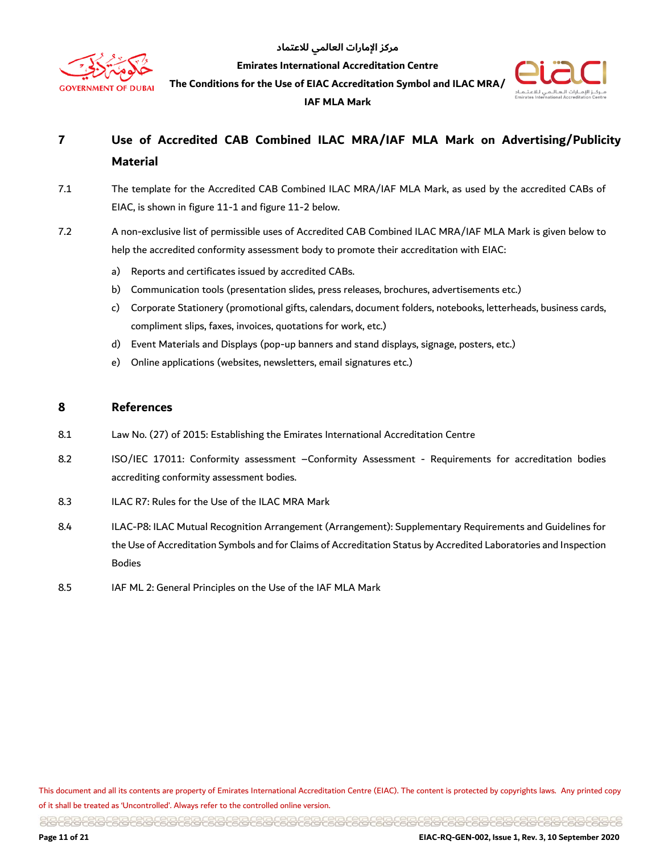

**Emirates International Accreditation Centre**

**The Conditions for the Use of EIAC Accreditation Symbol and ILAC MRA/** 





### <span id="page-10-0"></span>**7 Use of Accredited CAB Combined ILAC MRA/IAF MLA Mark on Advertising/Publicity Material**

- 7.1 The template for the Accredited CAB Combined ILAC MRA/IAF MLA Mark, as used by the accredited CABs of EIAC, is shown in figure 11-1 and figure 11-2 below.
- 7.2 A non-exclusive list of permissible uses of Accredited CAB Combined ILAC MRA/IAF MLA Mark is given below to help the accredited conformity assessment body to promote their accreditation with EIAC:
	- a) Reports and certificates issued by accredited CABs.
	- b) Communication tools (presentation slides, press releases, brochures, advertisements etc.)
	- c) Corporate Stationery (promotional gifts, calendars, document folders, notebooks, letterheads, business cards, compliment slips, faxes, invoices, quotations for work, etc.)
	- d) Event Materials and Displays (pop-up banners and stand displays, signage, posters, etc.)
	- e) Online applications (websites, newsletters, email signatures etc.)

#### <span id="page-10-1"></span>**8 References**

- 8.1 Law No. (27) of 2015: Establishing the Emirates International Accreditation Centre
- 8.2 ISO/IEC 17011: Conformity assessment –Conformity Assessment Requirements for accreditation bodies accrediting conformity assessment bodies.
- 8.3 ILAC R7: Rules for the Use of the ILAC MRA Mark
- 8.4 ILAC-P8: ILAC Mutual Recognition Arrangement (Arrangement): Supplementary Requirements and Guidelines for the Use of Accreditation Symbols and for Claims of Accreditation Status by Accredited Laboratories and Inspection Bodies
- 8.5 IAF ML 2: General Principles on the Use of the IAF MLA Mark

This document and all its contents are property of Emirates International Accreditation Centre (EIAC). The content is protected by copyrights laws. Any printed copy of it shall be treated as 'Uncontrolled'. Always refer to the controlled online version.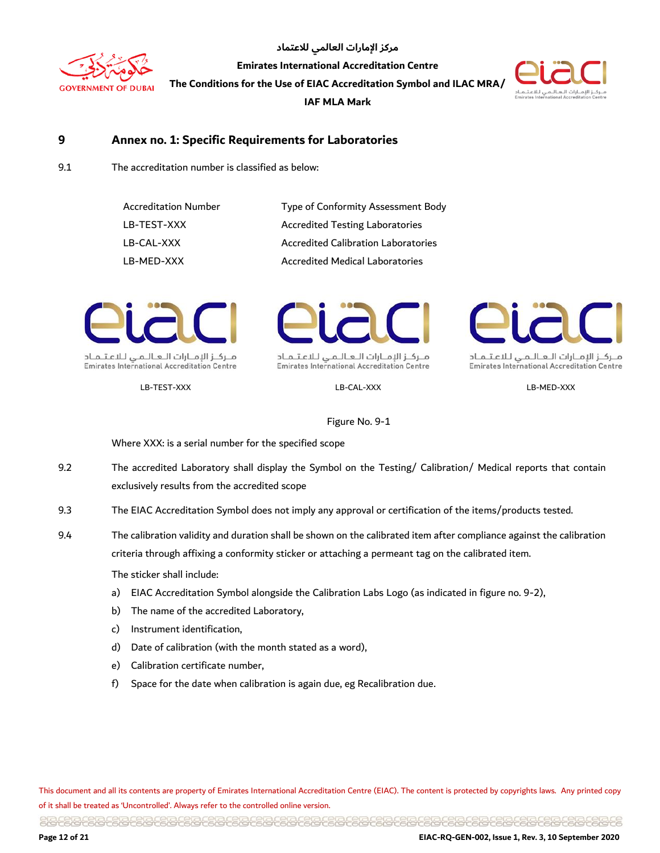



#### <span id="page-11-0"></span>**9 Annex no. 1: Specific Requirements for Laboratories**

9.1 The accreditation number is classified as below:

| <b>Accreditation Number</b> | Type of Conformity Assessment Body         |
|-----------------------------|--------------------------------------------|
| LB-TEST-XXX                 | <b>Accredited Testing Laboratories</b>     |
| LB-CAL-XXX                  | <b>Accredited Calibration Laboratories</b> |
| LB-MED-XXX                  | <b>Accredited Medical Laboratories</b>     |



**Emirates International Accreditation Centre** 



منزكز الإمنازات التعاليمني للاعتلمناد **Emirates International Accreditation Centre** 



منزكاز الإمنازات التعاليمني للاعتلمناد **Emirates International Accreditation Centre** 

LB-TEST-XXX LB-CAL-XXX LB-MED-XXX

Figure No. 9-1

Where XXX: is a serial number for the specified scope

- 9.2 The accredited Laboratory shall display the Symbol on the Testing/ Calibration/ Medical reports that contain exclusively results from the accredited scope
- 9.3 The EIAC Accreditation Symbol does not imply any approval or certification of the items/products tested.
- 9.4 The calibration validity and duration shall be shown on the calibrated item after compliance against the calibration criteria through affixing a conformity sticker or attaching a permeant tag on the calibrated item.

The sticker shall include:

- a) EIAC Accreditation Symbol alongside the Calibration Labs Logo (as indicated in figure no. 9-2),
- b) The name of the accredited Laboratory,
- c) Instrument identification,
- d) Date of calibration (with the month stated as a word),
- e) Calibration certificate number,
- f) Space for the date when calibration is again due, eg Recalibration due.

This document and all its contents are property of Emirates International Accreditation Centre (EIAC). The content is protected by copyrights laws. Any printed copy of it shall be treated as 'Uncontrolled'. Always refer to the controlled online version.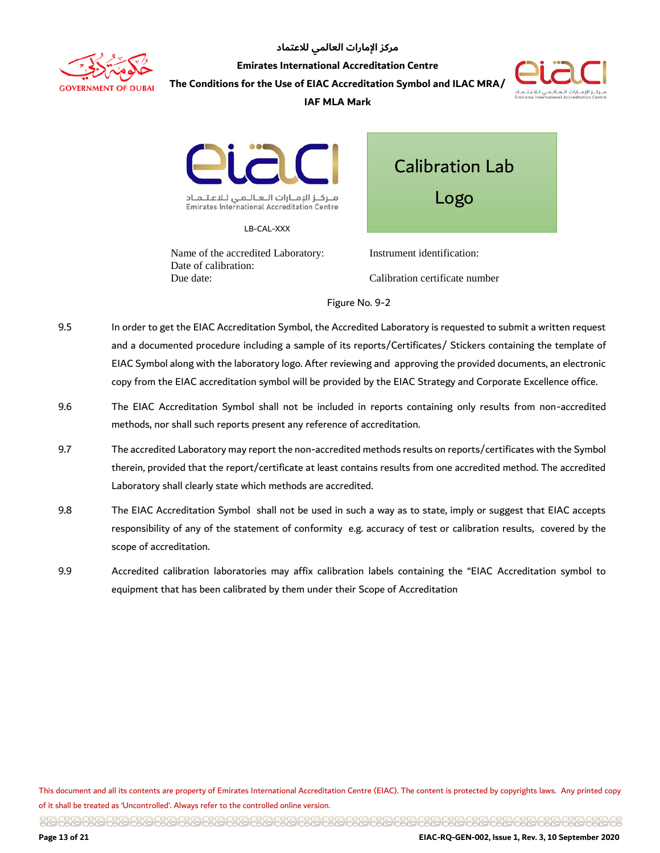



#### **IAF MLA Mark**



**Emirates International Accreditation Centre** 

LB-CAL-XXX

Name of the accredited Laboratory: Date of calibration: Due date:

Calibration Lab Logo

Instrument identification: Calibration certificate number

Figure No. 9-2

- 9.5 In order to get the EIAC Accreditation Symbol, the Accredited Laboratory is requested to submit a written request and a documented procedure including a sample of its reports/Certificates/ Stickers containing the template of EIAC Symbol along with the laboratory logo. After reviewing and approving the provided documents, an electronic copy from the EIAC accreditation symbol will be provided by the EIAC Strategy and Corporate Excellence office.
- 9.6 The EIAC Accreditation Symbol shall not be included in reports containing only results from non-accredited methods, nor shall such reports present any reference of accreditation.
- 9.7 The accredited Laboratory may report the non-accredited methods results on reports/certificates with the Symbol therein, provided that the report/certificate at least contains results from one accredited method. The accredited Laboratory shall clearly state which methods are accredited.
- 9.8 The EIAC Accreditation Symbol shall not be used in such a way as to state, imply or suggest that EIAC accepts responsibility of any of the statement of conformity e.g. accuracy of test or calibration results, covered by the scope of accreditation.
- 9.9 Accredited calibration laboratories may affix calibration labels containing the "EIAC Accreditation symbol to equipment that has been calibrated by them under their Scope of Accreditation

This document and all its contents are property of Emirates International Accreditation Centre (EIAC). The content is protected by copyrights laws. Any printed copy of it shall be treated as 'Uncontrolled'. Always refer to the controlled online version.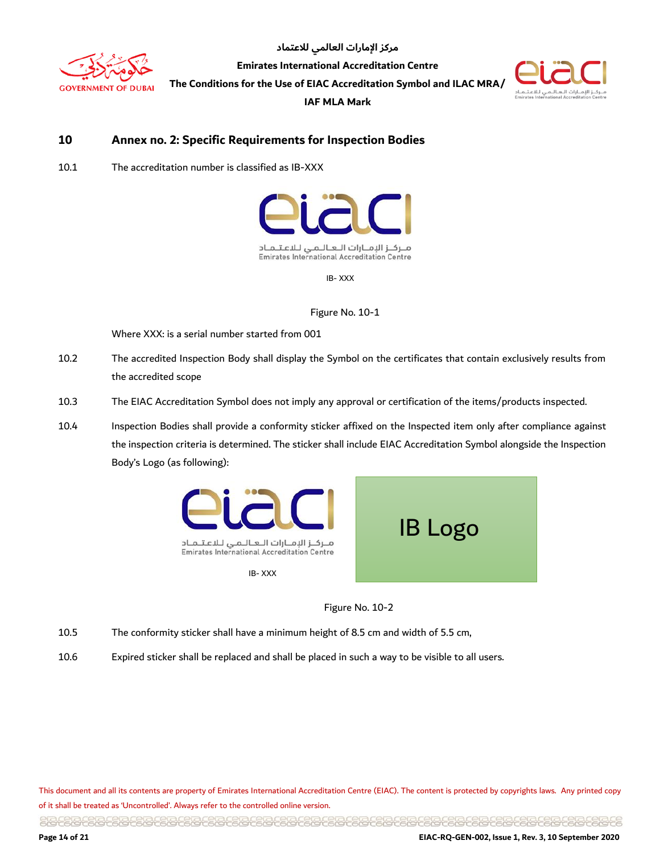



#### <span id="page-13-0"></span>**10 Annex no. 2: Specific Requirements for Inspection Bodies**

10.1 The accreditation number is classified as IB-XXX



IB- XXX

Figure No. 10-1

Where XXX: is a serial number started from 001

- 10.2 The accredited Inspection Body shall display the Symbol on the certificates that contain exclusively results from the accredited scope
- 10.3 The EIAC Accreditation Symbol does not imply any approval or certification of the items/products inspected.
- 10.4 Inspection Bodies shall provide a conformity sticker affixed on the Inspected item only after compliance against the inspection criteria is determined. The sticker shall include EIAC Accreditation Symbol alongside the Inspection Body's Logo (as following):



Figure No. 10-2

- 10.5 The conformity sticker shall have a minimum height of 8.5 cm and width of 5.5 cm,
- 10.6 Expired sticker shall be replaced and shall be placed in such a way to be visible to all users.

This document and all its contents are property of Emirates International Accreditation Centre (EIAC). The content is protected by copyrights laws. Any printed copy of it shall be treated as 'Uncontrolled'. Always refer to the controlled online version.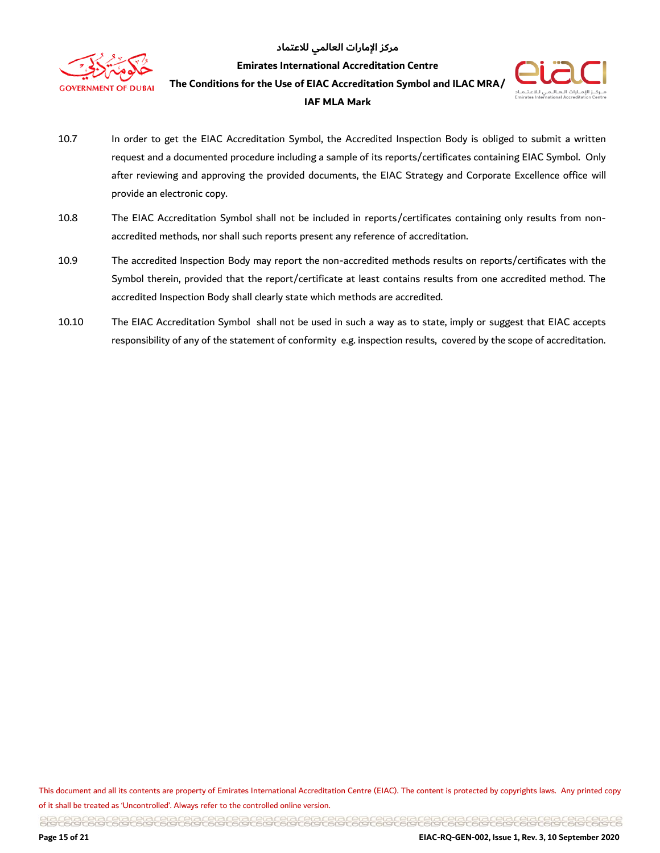

**Emirates International Accreditation Centre**

**The Conditions for the Use of EIAC Accreditation Symbol and ILAC MRA/** 





- 10.7 In order to get the EIAC Accreditation Symbol, the Accredited Inspection Body is obliged to submit a written request and a documented procedure including a sample of its reports/certificates containing EIAC Symbol. Only after reviewing and approving the provided documents, the EIAC Strategy and Corporate Excellence office will provide an electronic copy.
- 10.8 The EIAC Accreditation Symbol shall not be included in reports/certificates containing only results from nonaccredited methods, nor shall such reports present any reference of accreditation.
- 10.9 The accredited Inspection Body may report the non-accredited methods results on reports/certificates with the Symbol therein, provided that the report/certificate at least contains results from one accredited method. The accredited Inspection Body shall clearly state which methods are accredited.
- 10.10 The EIAC Accreditation Symbol shall not be used in such a way as to state, imply or suggest that EIAC accepts responsibility of any of the statement of conformity e.g. inspection results, covered by the scope of accreditation.

This document and all its contents are property of Emirates International Accreditation Centre (EIAC). The content is protected by copyrights laws. Any printed copy of it shall be treated as 'Uncontrolled'. Always refer to the controlled online version.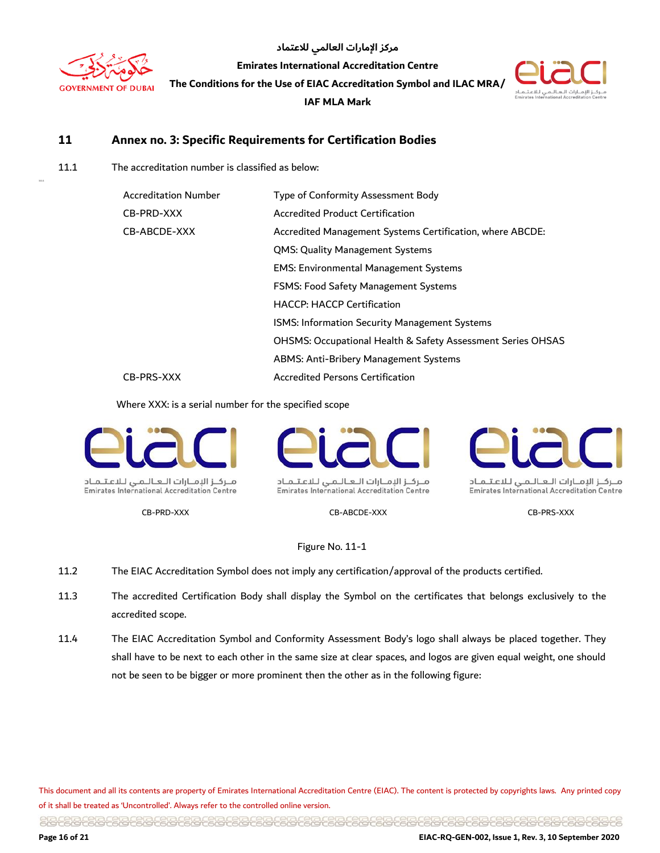

11.1.1

مركز الإمارات العالمي للاعتماد

**Emirates International Accreditation Centre**

**The Conditions for the Use of EIAC Accreditation Symbol and ILAC MRA/** 

**IAF MLA Mark** 



#### <span id="page-15-0"></span>**11 Annex no. 3: Specific Requirements for Certification Bodies**

11.1 The accreditation number is classified as below:

| <b>Accreditation Number</b> | Type of Conformity Assessment Body                          |
|-----------------------------|-------------------------------------------------------------|
| CB-PRD-XXX                  | Accredited Product Certification                            |
| CB-ABCDE-XXX                | Accredited Management Systems Certification, where ABCDE:   |
|                             | QMS: Quality Management Systems                             |
|                             | <b>EMS: Environmental Management Systems</b>                |
|                             | <b>FSMS: Food Safety Management Systems</b>                 |
|                             | <b>HACCP: HACCP Certification</b>                           |
|                             | ISMS: Information Security Management Systems               |
|                             | OHSMS: Occupational Health & Safety Assessment Series OHSAS |
|                             | ABMS: Anti-Bribery Management Systems                       |
| CB-PRS-XXX                  | <b>Accredited Persons Certification</b>                     |

Where XXX: is a serial number for the specified scope



**Emirates International Accreditation Centre** 



ملزكاز الإمنازات التعاليمي للاعتلماد **Emirates International Accreditation Centre** 

CB-PRD-XXX CB-ABCDE-XXX CB-PRS-XXX

منزكاز الإمنازات التعاليمني للاعتلمناد **Emirates International Accreditation Centre** 

Figure No. 11-1

- 11.2 The EIAC Accreditation Symbol does not imply any certification/approval of the products certified.
- 11.3 The accredited Certification Body shall display the Symbol on the certificates that belongs exclusively to the accredited scope.
- 11.4 The EIAC Accreditation Symbol and Conformity Assessment Body's logo shall always be placed together. They shall have to be next to each other in the same size at clear spaces, and logos are given equal weight, one should not be seen to be bigger or more prominent then the other as in the following figure:

This document and all its contents are property of Emirates International Accreditation Centre (EIAC). The content is protected by copyrights laws. Any printed copy of it shall be treated as 'Uncontrolled'. Always refer to the controlled online version.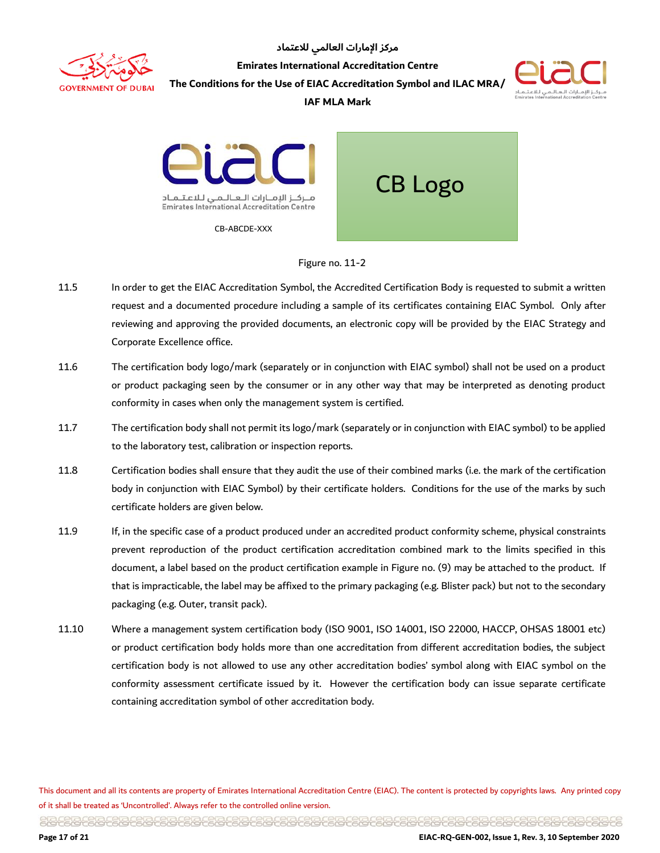

**Emirates International Accreditation Centre**

مركز الإمارات العالمي للاعتماد

**The Conditions for the Use of EIAC Accreditation Symbol and ILAC MRA/** 



#### **IAF MLA Mark**



#### Figure no. 11-2

- 11.5 In order to get the EIAC Accreditation Symbol, the Accredited Certification Body is requested to submit a written request and a documented procedure including a sample of its certificates containing EIAC Symbol. Only after reviewing and approving the provided documents, an electronic copy will be provided by the EIAC Strategy and Corporate Excellence office.
- 11.6 The certification body logo/mark (separately or in conjunction with EIAC symbol) shall not be used on a product or product packaging seen by the consumer or in any other way that may be interpreted as denoting product conformity in cases when only the management system is certified.
- 11.7 The certification body shall not permit its logo/mark (separately or in conjunction with EIAC symbol) to be applied to the laboratory test, calibration or inspection reports.
- 11.8 Certification bodies shall ensure that they audit the use of their combined marks (i.e. the mark of the certification body in conjunction with EIAC Symbol) by their certificate holders. Conditions for the use of the marks by such certificate holders are given below.
- 11.9 If, in the specific case of a product produced under an accredited product conformity scheme, physical constraints prevent reproduction of the product certification accreditation combined mark to the limits specified in this document, a label based on the product certification example in Figure no. (9) may be attached to the product. If that is impracticable, the label may be affixed to the primary packaging (e.g. Blister pack) but not to the secondary packaging (e.g. Outer, transit pack).
- 11.10 Where a management system certification body (ISO 9001, ISO 14001, ISO 22000, HACCP, OHSAS 18001 etc) or product certification body holds more than one accreditation from different accreditation bodies, the subject certification body is not allowed to use any other accreditation bodies' symbol along with EIAC symbol on the conformity assessment certificate issued by it. However the certification body can issue separate certificate containing accreditation symbol of other accreditation body.

This document and all its contents are property of Emirates International Accreditation Centre (EIAC). The content is protected by copyrights laws. Any printed copy of it shall be treated as 'Uncontrolled'. Always refer to the controlled online version.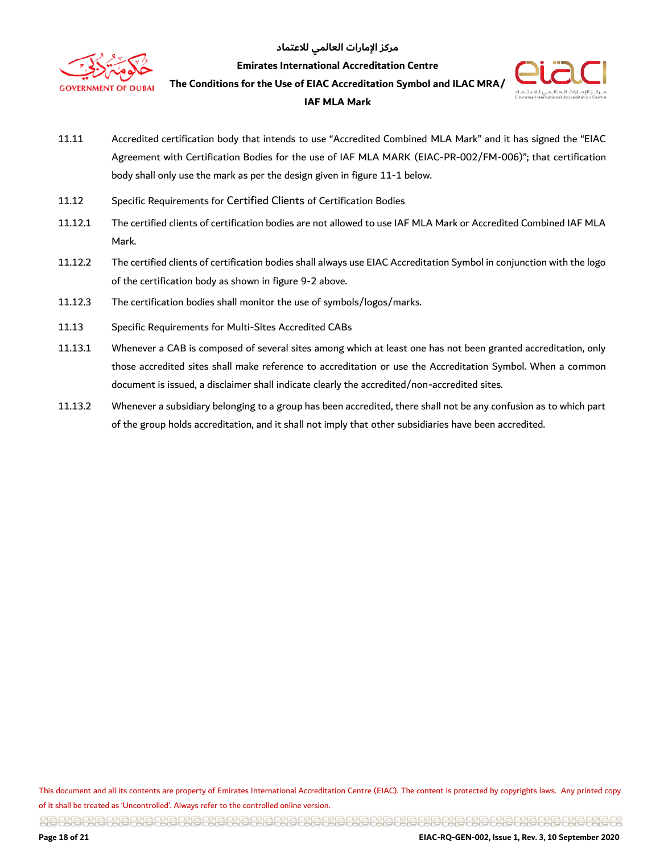

**Emirates International Accreditation Centre**

**The Conditions for the Use of EIAC Accreditation Symbol and ILAC MRA/** 





- 11.11 Accredited certification body that intends to use "Accredited Combined MLA Mark" and it has signed the "EIAC Agreement with Certification Bodies for the use of IAF MLA MARK (EIAC-PR-002/FM-006)"; that certification body shall only use the mark as per the design given in figure 11-1 below.
- 11.12 Specific Requirements for Certified Clients of Certification Bodies
- 11.12.1 The certified clients of certification bodies are not allowed to use IAF MLA Mark or Accredited Combined IAF MLA Mark.
- 11.12.2 The certified clients of certification bodies shall always use EIAC Accreditation Symbol in conjunction with the logo of the certification body as shown in figure 9-2 above.
- 11.12.3 The certification bodies shall monitor the use of symbols/logos/marks.
- 11.13 Specific Requirements for Multi-Sites Accredited CABs
- 11.13.1 Whenever a CAB is composed of several sites among which at least one has not been granted accreditation, only those accredited sites shall make reference to accreditation or use the Accreditation Symbol. When a common document is issued, a disclaimer shall indicate clearly the accredited/non-accredited sites.
- 11.13.2 Whenever a subsidiary belonging to a group has been accredited, there shall not be any confusion as to which part of the group holds accreditation, and it shall not imply that other subsidiaries have been accredited.

This document and all its contents are property of Emirates International Accreditation Centre (EIAC). The content is protected by copyrights laws. Any printed copy of it shall be treated as 'Uncontrolled'. Always refer to the controlled online version.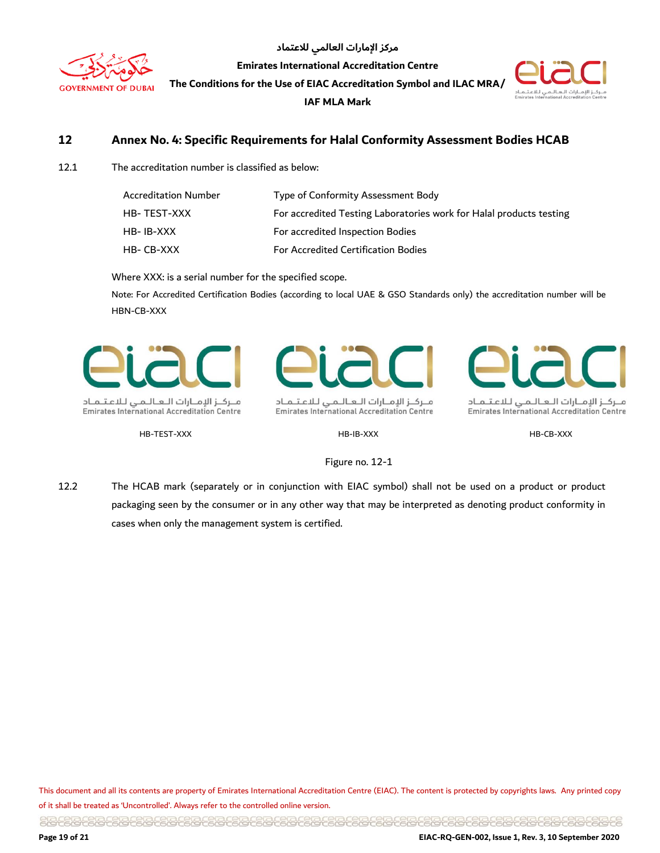

**Emirates International Accreditation Centre**

**The Conditions for the Use of EIAC Accreditation Symbol and ILAC MRA/** 

**IAF MLA Mark** 



#### <span id="page-18-0"></span>**12 Annex No. 4: Specific Requirements for Halal Conformity Assessment Bodies HCAB**

12.1 The accreditation number is classified as below:

| <b>Accreditation Number</b> | Type of Conformity Assessment Body                                  |
|-----------------------------|---------------------------------------------------------------------|
| HB-TEST-XXX                 | For accredited Testing Laboratories work for Halal products testing |
| HB-IB-XXX                   | For accredited Inspection Bodies                                    |
| HB-CB-XXX                   | <b>For Accredited Certification Bodies</b>                          |

Where XXX: is a serial number for the specified scope.

Note: For Accredited Certification Bodies (according to local UAE & GSO Standards only) the accreditation number will be HBN-CB-XXX



منزكز الإمنازات التعاليمي للاعتلماد Emirates International Accreditation Centre

HB-TEST-XXX HB-IB-XXX HB-CB-XXX



ملزكز الإمنازات التعاليمي للاعتلماد Emirates International Accreditation Centre

ملزكاز الإمنازات التعاليمي للاعتلماد **Emirates International Accreditation Centre** 

#### Figure no. 12-1

12.2 The HCAB mark (separately or in conjunction with EIAC symbol) shall not be used on a product or product packaging seen by the consumer or in any other way that may be interpreted as denoting product conformity in cases when only the management system is certified.

This document and all its contents are property of Emirates International Accreditation Centre (EIAC). The content is protected by copyrights laws. Any printed copy of it shall be treated as 'Uncontrolled'. Always refer to the controlled online version.

<u> 일립우립 공립 공립 공립 공립 공립 공립 공립 공립 공립 공립 공립 공립 공급 공립 공급 공립 공립 공립 공립 공립 공립 공립 공립 공립 공립 공립 등 대 등 대 등 등 중립</u>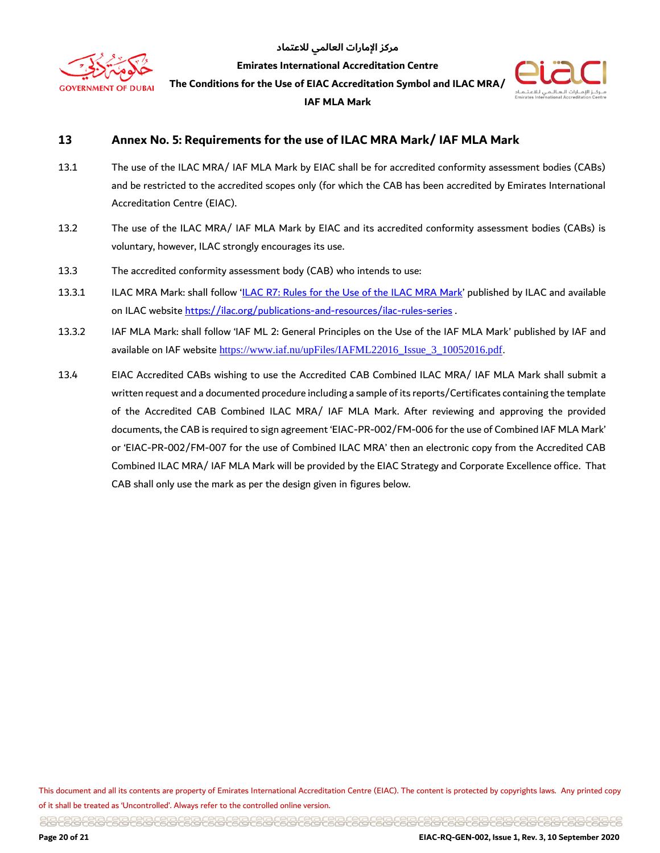

**Emirates International Accreditation Centre**

**The Conditions for the Use of EIAC Accreditation Symbol and ILAC MRA/** 





#### <span id="page-19-0"></span>**13 Annex No. 5: Requirements for the use of ILAC MRA Mark/ IAF MLA Mark**

- 13.1 The use of the ILAC MRA/ IAF MLA Mark by EIAC shall be for accredited conformity assessment bodies (CABs) and be restricted to the accredited scopes only (for which the CAB has been accredited by Emirates International Accreditation Centre (EIAC).
- 13.2 The use of the ILAC MRA/ IAF MLA Mark by EIAC and its accredited conformity assessment bodies (CABs) is voluntary, however, ILAC strongly encourages its use.
- 13.3 The accredited conformity assessment body (CAB) who intends to use:
- 13.3.1 ILAC MRA Mark: shall follow '[ILAC R7: Rules for the Use of the ILAC MRA Mark](https://ilac.org/?ddownload=833)' published by ILAC and available on ILAC website<https://ilac.org/publications-and-resources/ilac-rules-series> .
- 13.3.2 IAF MLA Mark: shall follow 'IAF ML 2: General Principles on the Use of the IAF MLA Mark' published by IAF and available on IAF website [https://www.iaf.nu/upFiles/IAFML22016\\_Issue\\_3\\_10052016.pdf.](https://www.iaf.nu/upFiles/IAFML22016_Issue_3_10052016.pdf)
- 13.4 EIAC Accredited CABs wishing to use the Accredited CAB Combined ILAC MRA/ IAF MLA Mark shall submit a written request and a documented procedure including a sample of its reports/Certificates containing the template of the Accredited CAB Combined ILAC MRA/ IAF MLA Mark. After reviewing and approving the provided documents, the CAB is required to sign agreement 'EIAC-PR-002/FM-006 for the use of Combined IAF MLA Mark' or 'EIAC-PR-002/FM-007 for the use of Combined ILAC MRA' then an electronic copy from the Accredited CAB Combined ILAC MRA/ IAF MLA Mark will be provided by the EIAC Strategy and Corporate Excellence office. That CAB shall only use the mark as per the design given in figures below.

This document and all its contents are property of Emirates International Accreditation Centre (EIAC). The content is protected by copyrights laws. Any printed copy of it shall be treated as 'Uncontrolled'. Always refer to the controlled online version.